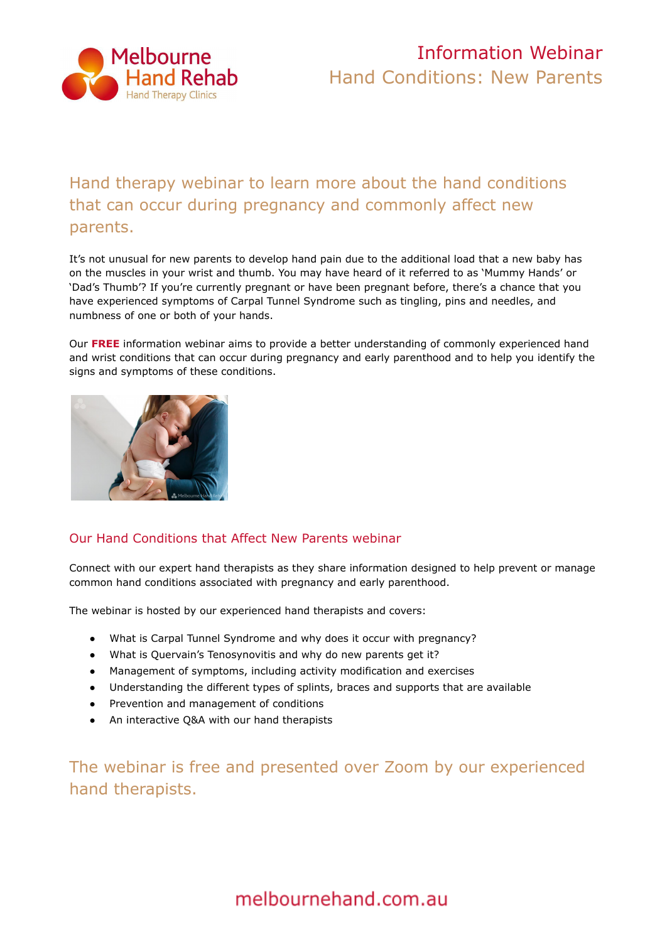

# Information Webinar Hand Conditions: New Parents

## Hand therapy webinar to learn more about the hand conditions that can occur during pregnancy and commonly affect new parents.

It's not unusual for new parents to develop hand pain due to the additional load that a new baby has on the muscles in your wrist and thumb. You may have heard of it referred to as 'Mummy Hands' or 'Dad's Thumb'? If you're currently pregnant or have been pregnant before, there's a chance that you have experienced symptoms of Carpal Tunnel Syndrome such as tingling, pins and needles, and numbness of one or both of your hands.

Our **[FREE](https://melbournehand.com.au/about-us/hand-therapy-webinars/)** information webinar aims to provide a better understanding of commonly experienced hand and wrist conditions that can occur during pregnancy and early parenthood and to help you identify the signs and symptoms of these conditions.



### Our Hand Conditions that Affect New Parents webinar

Connect with our expert hand therapists as they share information designed to help prevent or manage common hand conditions associated with pregnancy and early parenthood.

The webinar is hosted by our experienced hand therapists and covers:

- What is Carpal Tunnel Syndrome and why does it occur with pregnancy?
- What is Quervain's Tenosynovitis and why do new parents get it?
- Management of symptoms, including activity modification and exercises
- Understanding the different types of splints, braces and supports that are available
- Prevention and management of conditions
- An interactive Q&A with our hand therapists

The webinar is free and presented over Zoom by our experienced hand therapists.

melbournehand.com.au